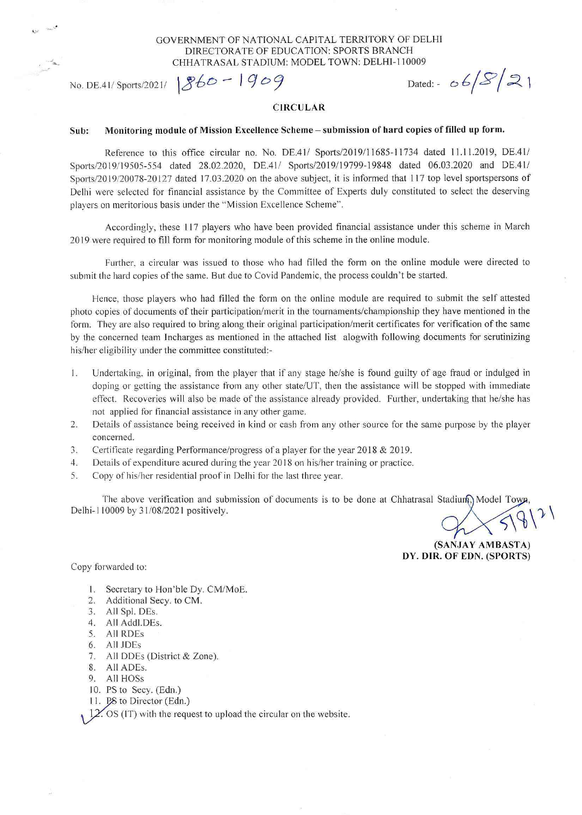### GOVERNMENT OF NATIONAL CAPITAL TERRITORY OF DELHI DIRECTORATE OF EDUCATION: SPORTS BRANCH CHHATRASAL STADIUM: MODEL TOWN: DELHI-110009

No. DE.41/ Sports/2021/  $860 - 1909$  Dated: -  $6582$ 

### **CIRCULAR**

## Sub: Monitoring module of Mission Excellence Scheme — submission of hard copies of filled up form.

Reference to this office circular no. No. DE.41/ Sports/2019/11685-11734 dated 11.11.2019, DE.41/ Sports/2019/19505-554 dated 28.02.2020, DE.41/ Sports/2019/19799-19848 dated 06.03.2020 and DE.41/ Sports/2019/20078-20127 dated 17.03.2020 on the above subject, it is informed that 117 top level sportspersons of Delhi were selected for financial assistance by the Committee of Experts duly constituted to select the deserving players on meritorious basis under the "Mission Excellence Scheme".

Accordingly, these 117 players who have been provided financial assistance under this scheme in March 2019 were required to fill form for monitoring module of this scheme in the online module.

Further, a circular was issued to those who had filled the form on the online module were directed to submit the hard copies of the same. But due to Covid Pandemic, the process couldn't be started.

Hence, those players who had filled the form on the online module are required to submit the self attested photo copies of documents of their participation/merit in the tournaments/championship they have mentioned in the form. They are also required to bring along their original participation/merit certificates for verification of the same by the concerned team Incharges as mentioned in the attached list alogwith following documents for scrutinizing his/her eligibility under the committee constituted:-

- 1. Undertaking, in original, from the player that if any stage he/she is found guilty of age fraud or indulged in doping or getting the assistance from any other state/UT, then the assistance will be stopped with immediate effect. Recoveries will also be made of the assistance already provided. Further, undertaking that he/she has not applied for financial assistance in any other game.
- 2. Details of assistance being received in kind or cash from any other source for the same purpose by the player concerned.
- 3. Certificate regarding Performance/progress of a player for the year 2018 & 2019.
- 4. Details of expenditure acured during the year 2018 on his/her training or practice.
- S. Copy of his/her residential proof in Delhi for the last three year.

The above verification and submission of documents is to be done at Chhatrasal Stadium, Model Town Delhi-1 10009 by 31/08/2021 positively.

(SANJAY AM **BASTA) DY. DIR. OF EDN. (SPORTS)** 

Copy forwarded to:

- 1. Secretary to Hon'ble Dy. CM/MoE.
- 2. Additional Secy. to CM.
- 3. All Spl. DEs.
- 4. All Addl.DEs.
- 5. All RDEs
- 6. All JDEs
- 7. All DDEs (District & Zone).
- 8. All ADEs.
- 9. All HOSs
- 10. PS to Secy. (Edn.)
- 11. PS to Director (Edn.)

 $12'$ . OS (IT) with the request to upload the circular on the website.